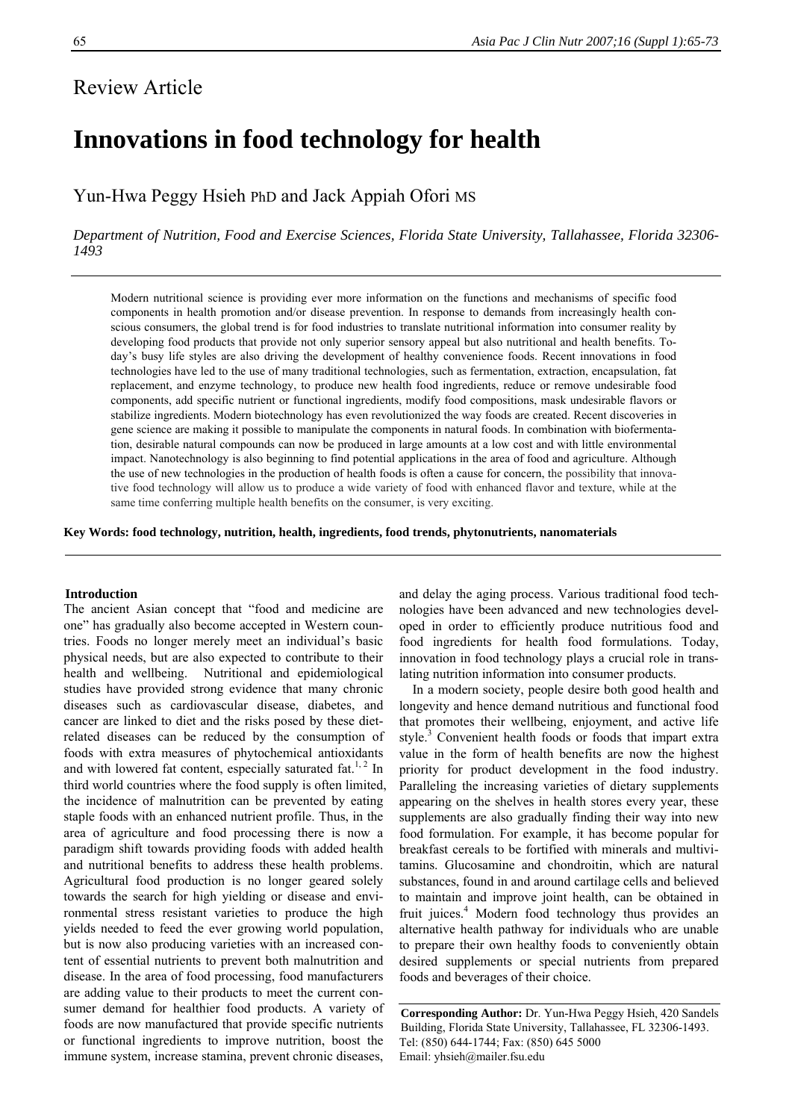# **Innovations in food technology for health**

Yun-Hwa Peggy Hsieh PhD and Jack Appiah Ofori MS

*Department of Nutrition, Food and Exercise Sciences, Florida State University, Tallahassee, Florida 32306- 1493* 

Modern nutritional science is providing ever more information on the functions and mechanisms of specific food components in health promotion and/or disease prevention. In response to demands from increasingly health conscious consumers, the global trend is for food industries to translate nutritional information into consumer reality by developing food products that provide not only superior sensory appeal but also nutritional and health benefits. Today's busy life styles are also driving the development of healthy convenience foods. Recent innovations in food technologies have led to the use of many traditional technologies, such as fermentation, extraction, encapsulation, fat replacement, and enzyme technology, to produce new health food ingredients, reduce or remove undesirable food components, add specific nutrient or functional ingredients, modify food compositions, mask undesirable flavors or stabilize ingredients. Modern biotechnology has even revolutionized the way foods are created. Recent discoveries in gene science are making it possible to manipulate the components in natural foods. In combination with biofermentation, desirable natural compounds can now be produced in large amounts at a low cost and with little environmental impact. Nanotechnology is also beginning to find potential applications in the area of food and agriculture. Although the use of new technologies in the production of health foods is often a cause for concern, the possibility that innovative food technology will allow us to produce a wide variety of food with enhanced flavor and texture, while at the same time conferring multiple health benefits on the consumer, is very exciting.

**Key Words: food technology, nutrition, health, ingredients, food trends, phytonutrients, nanomaterials** 

# **Introduction**

The ancient Asian concept that "food and medicine are one" has gradually also become accepted in Western countries. Foods no longer merely meet an individual's basic physical needs, but are also expected to contribute to their health and wellbeing. Nutritional and epidemiological studies have provided strong evidence that many chronic diseases such as cardiovascular disease, diabetes, and cancer are linked to diet and the risks posed by these dietrelated diseases can be reduced by the consumption of foods with extra measures of phytochemical antioxidants and with lowered fat content, especially saturated fat.<sup>1, 2</sup> In third world countries where the food supply is often limited, the incidence of malnutrition can be prevented by eating staple foods with an enhanced nutrient profile. Thus, in the area of agriculture and food processing there is now a paradigm shift towards providing foods with added health and nutritional benefits to address these health problems. Agricultural food production is no longer geared solely towards the search for high yielding or disease and environmental stress resistant varieties to produce the high yields needed to feed the ever growing world population, but is now also producing varieties with an increased content of essential nutrients to prevent both malnutrition and disease. In the area of food processing, food manufacturers are adding value to their products to meet the current consumer demand for healthier food products. A variety of foods are now manufactured that provide specific nutrients or functional ingredients to improve nutrition, boost the immune system, increase stamina, prevent chronic diseases,

and delay the aging process. Various traditional food technologies have been advanced and new technologies developed in order to efficiently produce nutritious food and food ingredients for health food formulations. Today, innovation in food technology plays a crucial role in translating nutrition information into consumer products.

 In a modern society, people desire both good health and longevity and hence demand nutritious and functional food that promotes their wellbeing, enjoyment, and active life style.<sup>3</sup> Convenient health foods or foods that impart extra value in the form of health benefits are now the highest priority for product development in the food industry. Paralleling the increasing varieties of dietary supplements appearing on the shelves in health stores every year, these supplements are also gradually finding their way into new food formulation. For example, it has become popular for breakfast cereals to be fortified with minerals and multivitamins. Glucosamine and chondroitin, which are natural substances, found in and around cartilage cells and believed to maintain and improve joint health, can be obtained in fruit juices.<sup>4</sup> Modern food technology thus provides an alternative health pathway for individuals who are unable to prepare their own healthy foods to conveniently obtain desired supplements or special nutrients from prepared foods and beverages of their choice.

**Corresponding Author:** Dr. Yun-Hwa Peggy Hsieh, 420 Sandels Building, Florida State University, Tallahassee, FL 32306-1493. Tel: (850) 644-1744; Fax: (850) 645 5000 Email: yhsieh@mailer.fsu.edu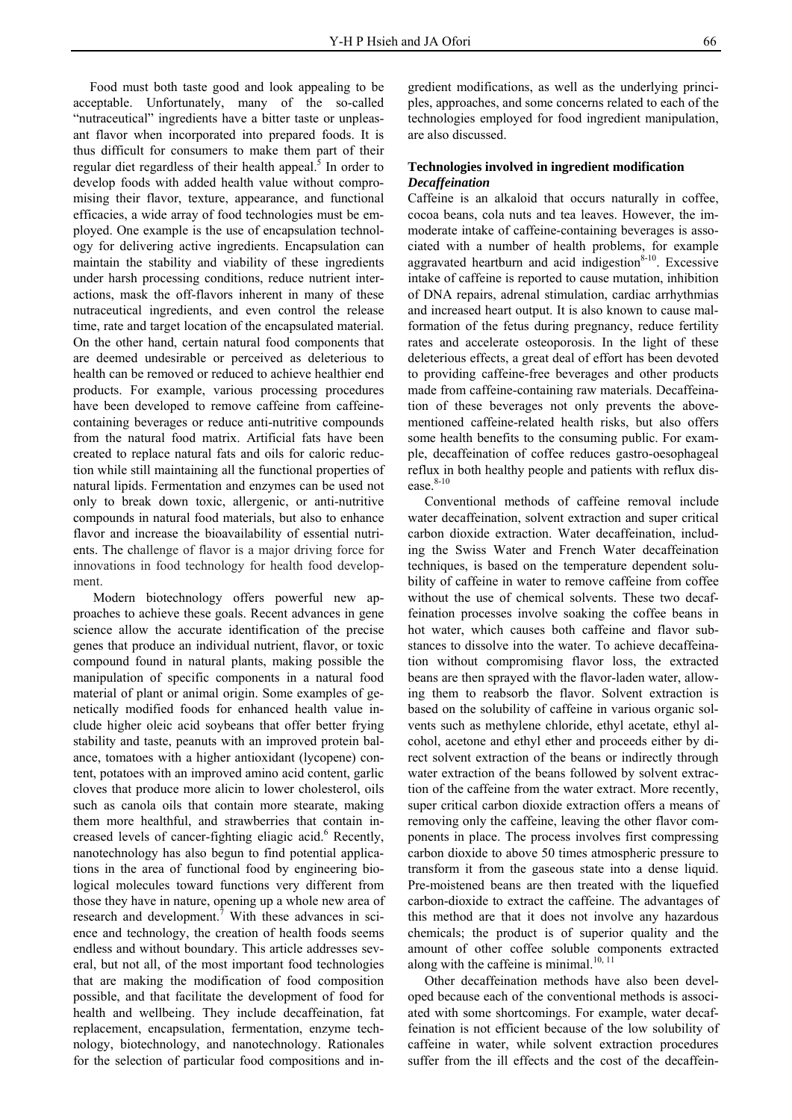Food must both taste good and look appealing to be acceptable. Unfortunately, many of the so-called "nutraceutical" ingredients have a bitter taste or unpleasant flavor when incorporated into prepared foods. It is thus difficult for consumers to make them part of their regular diet regardless of their health appeal.<sup>5</sup> In order to develop foods with added health value without compromising their flavor, texture, appearance, and functional efficacies, a wide array of food technologies must be employed. One example is the use of encapsulation technology for delivering active ingredients. Encapsulation can maintain the stability and viability of these ingredients under harsh processing conditions, reduce nutrient interactions, mask the off-flavors inherent in many of these nutraceutical ingredients, and even control the release time, rate and target location of the encapsulated material. On the other hand, certain natural food components that are deemed undesirable or perceived as deleterious to health can be removed or reduced to achieve healthier end products. For example, various processing procedures have been developed to remove caffeine from caffeinecontaining beverages or reduce anti-nutritive compounds from the natural food matrix. Artificial fats have been created to replace natural fats and oils for caloric reduction while still maintaining all the functional properties of natural lipids. Fermentation and enzymes can be used not only to break down toxic, allergenic, or anti-nutritive compounds in natural food materials, but also to enhance flavor and increase the bioavailability of essential nutrients. The challenge of flavor is a major driving force for innovations in food technology for health food development.

 Modern biotechnology offers powerful new approaches to achieve these goals. Recent advances in gene science allow the accurate identification of the precise genes that produce an individual nutrient, flavor, or toxic compound found in natural plants, making possible the manipulation of specific components in a natural food material of plant or animal origin. Some examples of genetically modified foods for enhanced health value include higher oleic acid soybeans that offer better frying stability and taste, peanuts with an improved protein balance, tomatoes with a higher antioxidant (lycopene) content, potatoes with an improved amino acid content, garlic cloves that produce more alicin to lower cholesterol, oils such as canola oils that contain more stearate, making them more healthful, and strawberries that contain increased levels of cancer-fighting eliagic acid.<sup>6</sup> Recently, nanotechnology has also begun to find potential applications in the area of functional food by engineering biological molecules toward functions very different from those they have in nature, opening up a whole new area of research and development.<sup>7</sup> With these advances in science and technology, the creation of health foods seems endless and without boundary. This article addresses several, but not all, of the most important food technologies that are making the modification of food composition possible, and that facilitate the development of food for health and wellbeing. They include decaffeination, fat replacement, encapsulation, fermentation, enzyme technology, biotechnology, and nanotechnology. Rationales for the selection of particular food compositions and ingredient modifications, as well as the underlying principles, approaches, and some concerns related to each of the technologies employed for food ingredient manipulation, are also discussed.

# **Technologies involved in ingredient modification**  *Decaffeination*

Caffeine is an alkaloid that occurs naturally in coffee, cocoa beans, cola nuts and tea leaves. However, the immoderate intake of caffeine-containing beverages is associated with a number of health problems, for example aggravated heartburn and acid indigestion $8-10$ . Excessive intake of caffeine is reported to cause mutation, inhibition of DNA repairs, adrenal stimulation, cardiac arrhythmias and increased heart output. It is also known to cause malformation of the fetus during pregnancy, reduce fertility rates and accelerate osteoporosis. In the light of these deleterious effects, a great deal of effort has been devoted to providing caffeine-free beverages and other products made from caffeine-containing raw materials. Decaffeination of these beverages not only prevents the abovementioned caffeine-related health risks, but also offers some health benefits to the consuming public. For example, decaffeination of coffee reduces gastro-oesophageal reflux in both healthy people and patients with reflux disease.<sup>8-10</sup>

 Conventional methods of caffeine removal include water decaffeination, solvent extraction and super critical carbon dioxide extraction. Water decaffeination, including the Swiss Water and French Water decaffeination techniques, is based on the temperature dependent solubility of caffeine in water to remove caffeine from coffee without the use of chemical solvents. These two decaffeination processes involve soaking the coffee beans in hot water, which causes both caffeine and flavor substances to dissolve into the water. To achieve decaffeination without compromising flavor loss, the extracted beans are then sprayed with the flavor-laden water, allowing them to reabsorb the flavor. Solvent extraction is based on the solubility of caffeine in various organic solvents such as methylene chloride, ethyl acetate, ethyl alcohol, acetone and ethyl ether and proceeds either by direct solvent extraction of the beans or indirectly through water extraction of the beans followed by solvent extraction of the caffeine from the water extract. More recently, super critical carbon dioxide extraction offers a means of removing only the caffeine, leaving the other flavor components in place. The process involves first compressing carbon dioxide to above 50 times atmospheric pressure to transform it from the gaseous state into a dense liquid. Pre-moistened beans are then treated with the liquefied carbon-dioxide to extract the caffeine. The advantages of this method are that it does not involve any hazardous chemicals; the product is of superior quality and the amount of other coffee soluble components extracted along with the caffeine is minimal. $^{10, 11}$ 

 Other decaffeination methods have also been developed because each of the conventional methods is associated with some shortcomings. For example, water decaffeination is not efficient because of the low solubility of caffeine in water, while solvent extraction procedures suffer from the ill effects and the cost of the decaffein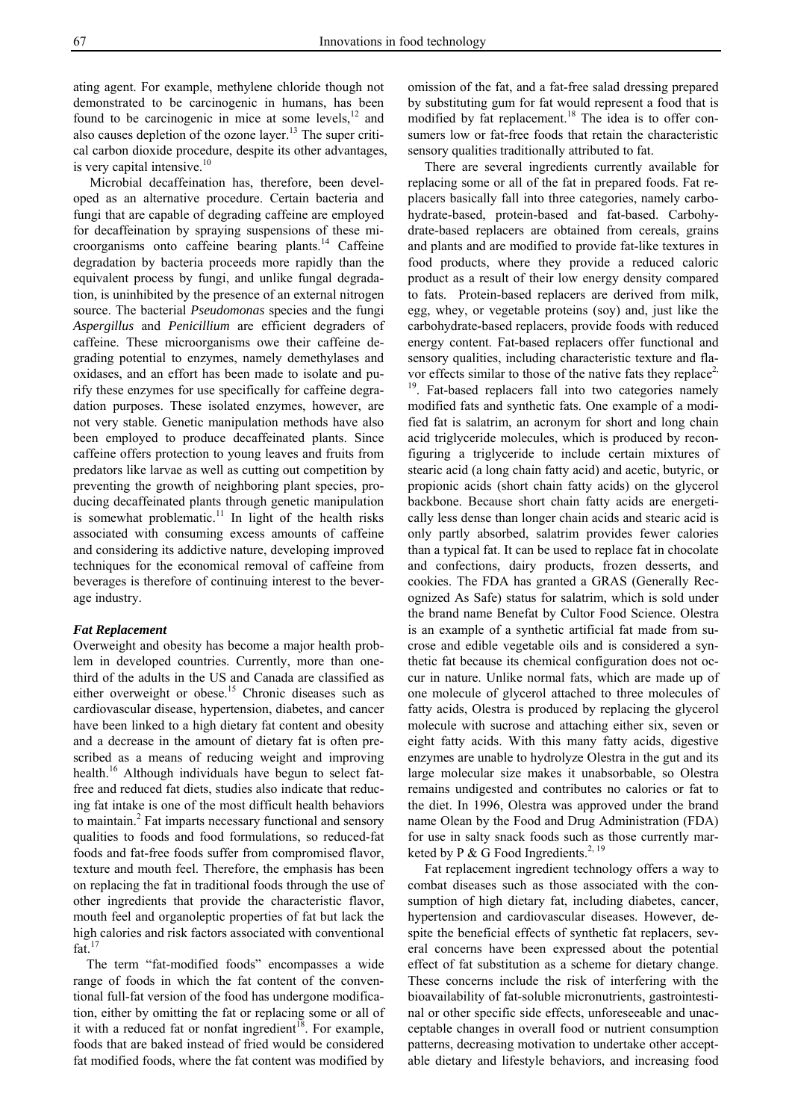ating agent. For example, methylene chloride though not demonstrated to be carcinogenic in humans, has been found to be carcinogenic in mice at some levels, $^{12}$  and also causes depletion of the ozone layer.13 The super critical carbon dioxide procedure, despite its other advantages, is very capital intensive.<sup>10</sup>

 Microbial decaffeination has, therefore, been developed as an alternative procedure. Certain bacteria and fungi that are capable of degrading caffeine are employed for decaffeination by spraying suspensions of these microorganisms onto caffeine bearing plants.<sup>14</sup> Caffeine degradation by bacteria proceeds more rapidly than the equivalent process by fungi, and unlike fungal degradation, is uninhibited by the presence of an external nitrogen source. The bacterial *Pseudomonas* species and the fungi *Aspergillus* and *Penicillium* are efficient degraders of caffeine. These microorganisms owe their caffeine degrading potential to enzymes, namely demethylases and oxidases, and an effort has been made to isolate and purify these enzymes for use specifically for caffeine degradation purposes. These isolated enzymes, however, are not very stable. Genetic manipulation methods have also been employed to produce decaffeinated plants. Since caffeine offers protection to young leaves and fruits from predators like larvae as well as cutting out competition by preventing the growth of neighboring plant species, producing decaffeinated plants through genetic manipulation is somewhat problematic.<sup>11</sup> In light of the health risks associated with consuming excess amounts of caffeine and considering its addictive nature, developing improved techniques for the economical removal of caffeine from beverages is therefore of continuing interest to the beverage industry.

#### *Fat Replacement*

Overweight and obesity has become a major health problem in developed countries. Currently, more than onethird of the adults in the US and Canada are classified as either overweight or obese.<sup>15</sup> Chronic diseases such as cardiovascular disease, hypertension, diabetes, and cancer have been linked to a high dietary fat content and obesity and a decrease in the amount of dietary fat is often prescribed as a means of reducing weight and improving health.<sup>16</sup> Although individuals have begun to select fatfree and reduced fat diets, studies also indicate that reducing fat intake is one of the most difficult health behaviors to maintain.<sup>2</sup> Fat imparts necessary functional and sensory qualities to foods and food formulations, so reduced-fat foods and fat-free foods suffer from compromised flavor, texture and mouth feel. Therefore, the emphasis has been on replacing the fat in traditional foods through the use of other ingredients that provide the characteristic flavor, mouth feel and organoleptic properties of fat but lack the high calories and risk factors associated with conventional fat. $17$ 

 The term "fat-modified foods" encompasses a wide range of foods in which the fat content of the conventional full-fat version of the food has undergone modification, either by omitting the fat or replacing some or all of it with a reduced fat or nonfat ingredient<sup>18</sup>. For example, foods that are baked instead of fried would be considered fat modified foods, where the fat content was modified by

omission of the fat, and a fat-free salad dressing prepared by substituting gum for fat would represent a food that is modified by fat replacement.<sup>18</sup> The idea is to offer consumers low or fat-free foods that retain the characteristic sensory qualities traditionally attributed to fat.

 There are several ingredients currently available for replacing some or all of the fat in prepared foods. Fat replacers basically fall into three categories, namely carbohydrate-based, protein-based and fat-based. Carbohydrate-based replacers are obtained from cereals, grains and plants and are modified to provide fat-like textures in food products, where they provide a reduced caloric product as a result of their low energy density compared to fats. Protein-based replacers are derived from milk, egg, whey, or vegetable proteins (soy) and, just like the carbohydrate-based replacers, provide foods with reduced energy content. Fat-based replacers offer functional and sensory qualities, including characteristic texture and flavor effects similar to those of the native fats they replace<sup>2,</sup> <sup>19</sup>. Fat-based replacers fall into two categories namely modified fats and synthetic fats. One example of a modified fat is salatrim, an acronym for short and long chain acid triglyceride molecules, which is produced by reconfiguring a triglyceride to include certain mixtures of stearic acid (a long chain fatty acid) and acetic, butyric, or propionic acids (short chain fatty acids) on the glycerol backbone. Because short chain fatty acids are energetically less dense than longer chain acids and stearic acid is only partly absorbed, salatrim provides fewer calories than a typical fat. It can be used to replace fat in chocolate and confections, dairy products, frozen desserts, and cookies. The FDA has granted a GRAS (Generally Recognized As Safe) status for salatrim, which is sold under the brand name Benefat by Cultor Food Science. Olestra is an example of a synthetic artificial fat made from sucrose and edible vegetable oils and is considered a synthetic fat because its chemical configuration does not occur in nature. Unlike normal fats, which are made up of one molecule of glycerol attached to three molecules of fatty acids, Olestra is produced by replacing the glycerol molecule with sucrose and attaching either six, seven or eight fatty acids. With this many fatty acids, digestive enzymes are unable to hydrolyze Olestra in the gut and its large molecular size makes it unabsorbable, so Olestra remains undigested and contributes no calories or fat to the diet. In 1996, Olestra was approved under the brand name Olean by the Food and Drug Administration (FDA) for use in salty snack foods such as those currently marketed by P & G Food Ingredients.<sup>2, 19</sup>

 Fat replacement ingredient technology offers a way to combat diseases such as those associated with the consumption of high dietary fat, including diabetes, cancer, hypertension and cardiovascular diseases. However, despite the beneficial effects of synthetic fat replacers, several concerns have been expressed about the potential effect of fat substitution as a scheme for dietary change. These concerns include the risk of interfering with the bioavailability of fat-soluble micronutrients, gastrointestinal or other specific side effects, unforeseeable and unacceptable changes in overall food or nutrient consumption patterns, decreasing motivation to undertake other acceptable dietary and lifestyle behaviors, and increasing food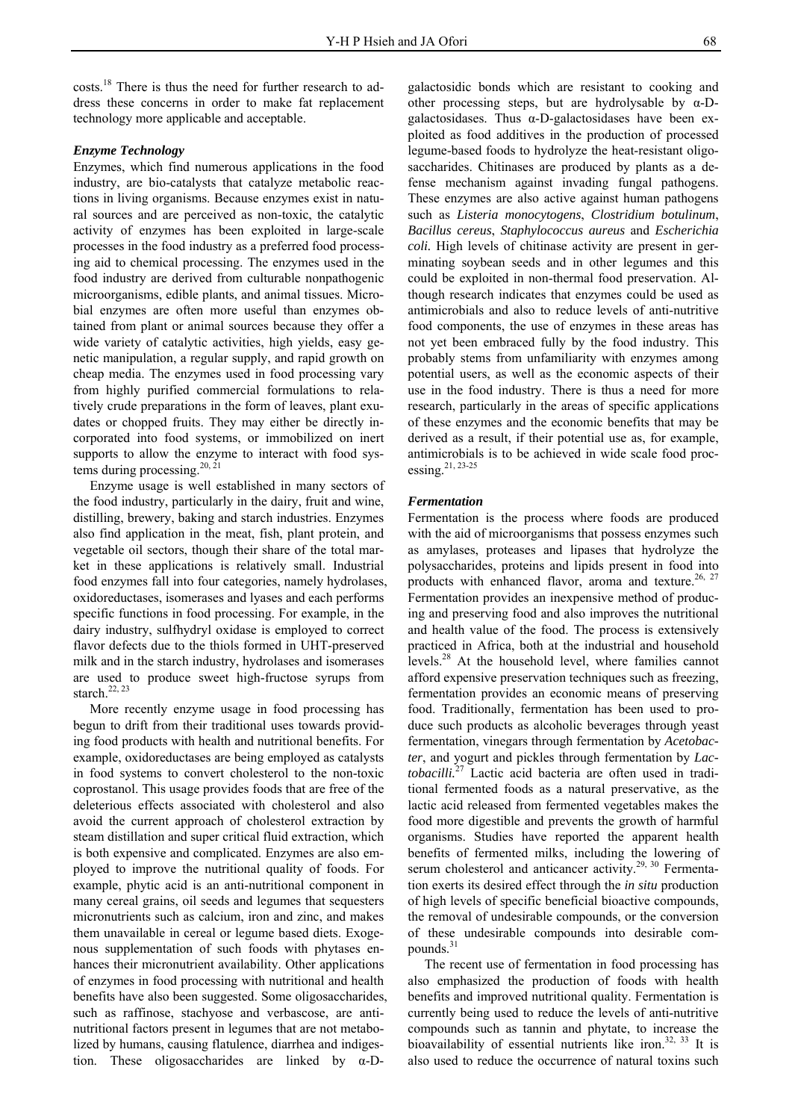costs.18 There is thus the need for further research to address these concerns in order to make fat replacement technology more applicable and acceptable.

# *Enzyme Technology*

Enzymes, which find numerous applications in the food industry, are bio-catalysts that catalyze metabolic reactions in living organisms. Because enzymes exist in natural sources and are perceived as non-toxic, the catalytic activity of enzymes has been exploited in large-scale processes in the food industry as a preferred food processing aid to chemical processing. The enzymes used in the food industry are derived from culturable nonpathogenic microorganisms, edible plants, and animal tissues. Microbial enzymes are often more useful than enzymes obtained from plant or animal sources because they offer a wide variety of catalytic activities, high yields, easy genetic manipulation, a regular supply, and rapid growth on cheap media. The enzymes used in food processing vary from highly purified commercial formulations to relatively crude preparations in the form of leaves, plant exudates or chopped fruits. They may either be directly incorporated into food systems, or immobilized on inert supports to allow the enzyme to interact with food systems during processing.<sup>20, 21</sup>

 Enzyme usage is well established in many sectors of the food industry, particularly in the dairy, fruit and wine, distilling, brewery, baking and starch industries. Enzymes also find application in the meat, fish, plant protein, and vegetable oil sectors, though their share of the total market in these applications is relatively small. Industrial food enzymes fall into four categories, namely hydrolases, oxidoreductases, isomerases and lyases and each performs specific functions in food processing. For example, in the dairy industry, sulfhydryl oxidase is employed to correct flavor defects due to the thiols formed in UHT-preserved milk and in the starch industry, hydrolases and isomerases are used to produce sweet high-fructose syrups from starch. $22, 23$ 

 More recently enzyme usage in food processing has begun to drift from their traditional uses towards providing food products with health and nutritional benefits. For example, oxidoreductases are being employed as catalysts in food systems to convert cholesterol to the non-toxic coprostanol. This usage provides foods that are free of the deleterious effects associated with cholesterol and also avoid the current approach of cholesterol extraction by steam distillation and super critical fluid extraction, which is both expensive and complicated. Enzymes are also employed to improve the nutritional quality of foods. For example, phytic acid is an anti-nutritional component in many cereal grains, oil seeds and legumes that sequesters micronutrients such as calcium, iron and zinc, and makes them unavailable in cereal or legume based diets. Exogenous supplementation of such foods with phytases enhances their micronutrient availability. Other applications of enzymes in food processing with nutritional and health benefits have also been suggested. Some oligosaccharides, such as raffinose, stachyose and verbascose, are antinutritional factors present in legumes that are not metabolized by humans, causing flatulence, diarrhea and indigestion. These oligosaccharides are linked by α-D-

galactosidic bonds which are resistant to cooking and other processing steps, but are hydrolysable by α-Dgalactosidases. Thus α-D-galactosidases have been exploited as food additives in the production of processed legume-based foods to hydrolyze the heat-resistant oligosaccharides. Chitinases are produced by plants as a defense mechanism against invading fungal pathogens. These enzymes are also active against human pathogens such as *Listeria monocytogens*, *Clostridium botulinum*, *Bacillus cereus*, *Staphylococcus aureus* and *Escherichia coli.* High levels of chitinase activity are present in germinating soybean seeds and in other legumes and this could be exploited in non-thermal food preservation. Although research indicates that enzymes could be used as antimicrobials and also to reduce levels of anti-nutritive food components, the use of enzymes in these areas has not yet been embraced fully by the food industry. This probably stems from unfamiliarity with enzymes among potential users, as well as the economic aspects of their use in the food industry. There is thus a need for more research, particularly in the areas of specific applications of these enzymes and the economic benefits that may be derived as a result, if their potential use as, for example, antimicrobials is to be achieved in wide scale food processing.21, 23-25

## *Fermentation*

Fermentation is the process where foods are produced with the aid of microorganisms that possess enzymes such as amylases, proteases and lipases that hydrolyze the polysaccharides, proteins and lipids present in food into products with enhanced flavor, aroma and texture.<sup>26, 27</sup> Fermentation provides an inexpensive method of producing and preserving food and also improves the nutritional and health value of the food. The process is extensively practiced in Africa, both at the industrial and household levels.28 At the household level, where families cannot afford expensive preservation techniques such as freezing, fermentation provides an economic means of preserving food. Traditionally, fermentation has been used to produce such products as alcoholic beverages through yeast fermentation, vinegars through fermentation by *Acetobacter*, and yogurt and pickles through fermentation by *Lactobacilli.*27 Lactic acid bacteria are often used in traditional fermented foods as a natural preservative, as the lactic acid released from fermented vegetables makes the food more digestible and prevents the growth of harmful organisms. Studies have reported the apparent health benefits of fermented milks, including the lowering of serum cholesterol and anticancer activity.<sup>29, 30</sup> Fermentation exerts its desired effect through the *in situ* production of high levels of specific beneficial bioactive compounds, the removal of undesirable compounds, or the conversion of these undesirable compounds into desirable compounds.<sup>31</sup>

 The recent use of fermentation in food processing has also emphasized the production of foods with health benefits and improved nutritional quality. Fermentation is currently being used to reduce the levels of anti-nutritive compounds such as tannin and phytate, to increase the bioavailability of essential nutrients like iron.<sup>32, 33</sup> It is also used to reduce the occurrence of natural toxins such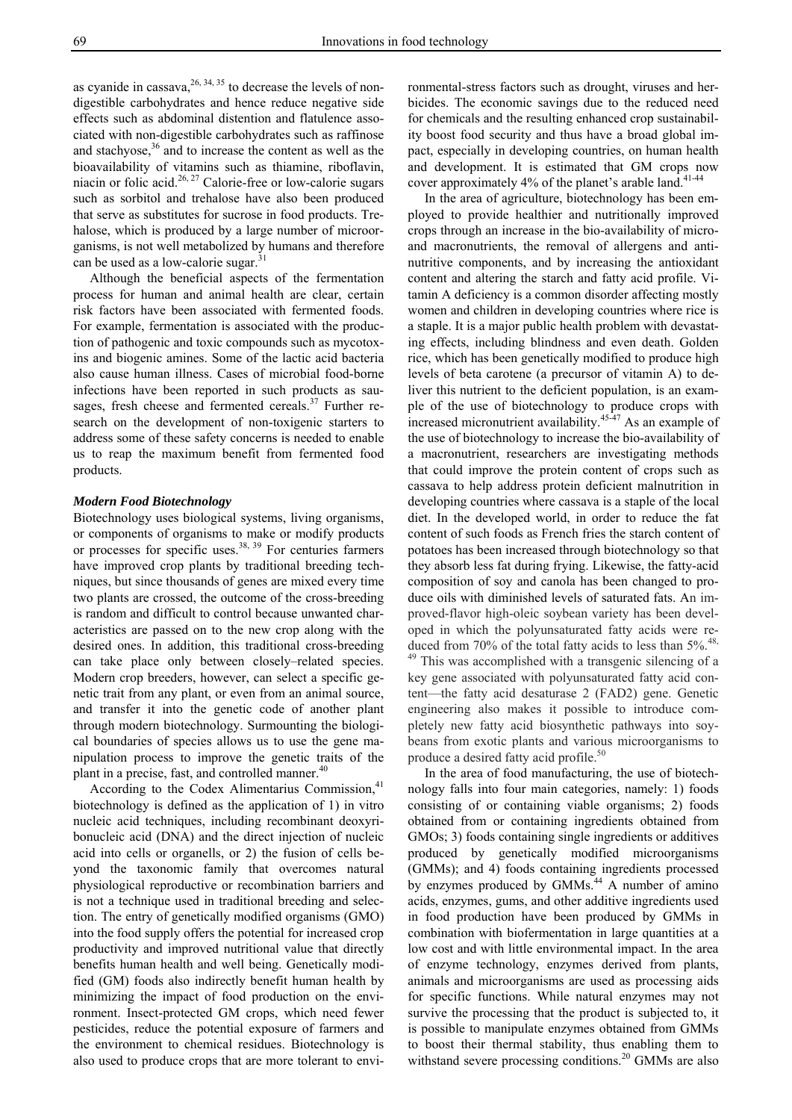as cyanide in cassava,  $26, 34, 35$  to decrease the levels of nondigestible carbohydrates and hence reduce negative side effects such as abdominal distention and flatulence associated with non-digestible carbohydrates such as raffinose and stachyose,<sup>36</sup> and to increase the content as well as the bioavailability of vitamins such as thiamine, riboflavin, niacin or folic acid.<sup>26, 27</sup> Calorie-free or low-calorie sugars such as sorbitol and trehalose have also been produced that serve as substitutes for sucrose in food products. Trehalose, which is produced by a large number of microorganisms, is not well metabolized by humans and therefore can be used as a low-calorie sugar.<sup>31</sup>

 Although the beneficial aspects of the fermentation process for human and animal health are clear, certain risk factors have been associated with fermented foods. For example, fermentation is associated with the production of pathogenic and toxic compounds such as mycotoxins and biogenic amines. Some of the lactic acid bacteria also cause human illness. Cases of microbial food-borne infections have been reported in such products as sausages, fresh cheese and fermented cereals. $37$  Further research on the development of non-toxigenic starters to address some of these safety concerns is needed to enable us to reap the maximum benefit from fermented food products.

#### *Modern Food Biotechnology*

Biotechnology uses biological systems, living organisms, or components of organisms to make or modify products or processes for specific uses. $38, 39$  For centuries farmers have improved crop plants by traditional breeding techniques, but since thousands of genes are mixed every time two plants are crossed, the outcome of the cross-breeding is random and difficult to control because unwanted characteristics are passed on to the new crop along with the desired ones. In addition, this traditional cross-breeding can take place only between closely–related species. Modern crop breeders, however, can select a specific genetic trait from any plant, or even from an animal source, and transfer it into the genetic code of another plant through modern biotechnology. Surmounting the biological boundaries of species allows us to use the gene manipulation process to improve the genetic traits of the plant in a precise, fast, and controlled manner.<sup>40</sup>

According to the Codex Alimentarius Commission,<sup>41</sup> biotechnology is defined as the application of 1) in vitro nucleic acid techniques, including recombinant deoxyribonucleic acid (DNA) and the direct injection of nucleic acid into cells or organells, or 2) the fusion of cells beyond the taxonomic family that overcomes natural physiological reproductive or recombination barriers and is not a technique used in traditional breeding and selection. The entry of genetically modified organisms (GMO) into the food supply offers the potential for increased crop productivity and improved nutritional value that directly benefits human health and well being. Genetically modified (GM) foods also indirectly benefit human health by minimizing the impact of food production on the environment. Insect-protected GM crops, which need fewer pesticides, reduce the potential exposure of farmers and the environment to chemical residues. Biotechnology is also used to produce crops that are more tolerant to environmental-stress factors such as drought, viruses and herbicides. The economic savings due to the reduced need for chemicals and the resulting enhanced crop sustainability boost food security and thus have a broad global impact, especially in developing countries, on human health and development. It is estimated that GM crops now cover approximately 4% of the planet's arable land.<sup>41-44</sup>

 In the area of agriculture, biotechnology has been employed to provide healthier and nutritionally improved crops through an increase in the bio-availability of microand macronutrients, the removal of allergens and antinutritive components, and by increasing the antioxidant content and altering the starch and fatty acid profile. Vitamin A deficiency is a common disorder affecting mostly women and children in developing countries where rice is a staple. It is a major public health problem with devastating effects, including blindness and even death. Golden rice, which has been genetically modified to produce high levels of beta carotene (a precursor of vitamin A) to deliver this nutrient to the deficient population, is an example of the use of biotechnology to produce crops with increased micronutrient availability.<sup>45-47</sup> As an example of the use of biotechnology to increase the bio-availability of a macronutrient, researchers are investigating methods that could improve the protein content of crops such as cassava to help address protein deficient malnutrition in developing countries where cassava is a staple of the local diet. In the developed world, in order to reduce the fat content of such foods as French fries the starch content of potatoes has been increased through biotechnology so that they absorb less fat during frying. Likewise, the fatty-acid composition of soy and canola has been changed to produce oils with diminished levels of saturated fats. An improved-flavor high-oleic soybean variety has been developed in which the polyunsaturated fatty acids were reduced from 70% of the total fatty acids to less than  $5\%$ .<sup>48,</sup> <sup>49</sup> This was accomplished with a transgenic silencing of a key gene associated with polyunsaturated fatty acid content—the fatty acid desaturase 2 (FAD2) gene. Genetic engineering also makes it possible to introduce completely new fatty acid biosynthetic pathways into soybeans from exotic plants and various microorganisms to produce a desired fatty acid profile.<sup>50</sup>

 In the area of food manufacturing, the use of biotechnology falls into four main categories, namely: 1) foods consisting of or containing viable organisms; 2) foods obtained from or containing ingredients obtained from GMOs; 3) foods containing single ingredients or additives produced by genetically modified microorganisms (GMMs); and 4) foods containing ingredients processed by enzymes produced by GMMs.<sup>44</sup> A number of amino acids, enzymes, gums, and other additive ingredients used in food production have been produced by GMMs in combination with biofermentation in large quantities at a low cost and with little environmental impact. In the area of enzyme technology, enzymes derived from plants, animals and microorganisms are used as processing aids for specific functions. While natural enzymes may not survive the processing that the product is subjected to, it is possible to manipulate enzymes obtained from GMMs to boost their thermal stability, thus enabling them to withstand severe processing conditions.<sup>20</sup> GMMs are also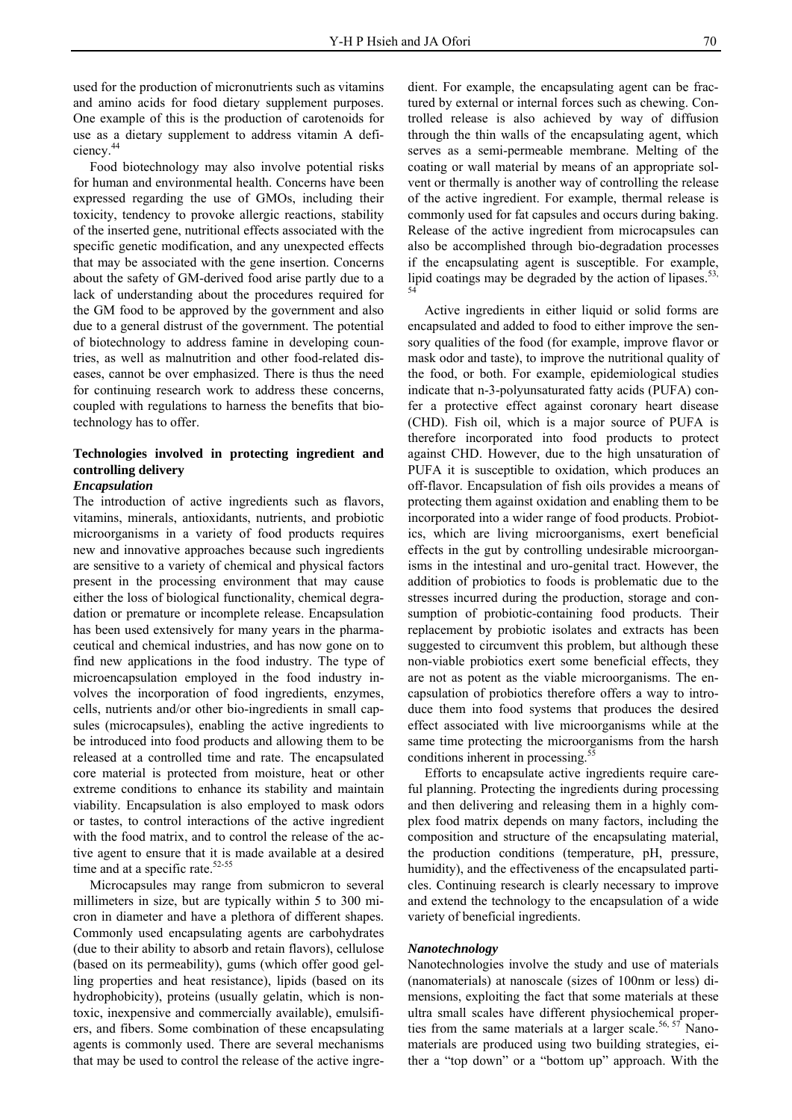used for the production of micronutrients such as vitamins and amino acids for food dietary supplement purposes. One example of this is the production of carotenoids for use as a dietary supplement to address vitamin A deficiency.44

 Food biotechnology may also involve potential risks for human and environmental health. Concerns have been expressed regarding the use of GMOs, including their toxicity, tendency to provoke allergic reactions, stability of the inserted gene, nutritional effects associated with the specific genetic modification, and any unexpected effects that may be associated with the gene insertion. Concerns about the safety of GM-derived food arise partly due to a lack of understanding about the procedures required for the GM food to be approved by the government and also due to a general distrust of the government. The potential of biotechnology to address famine in developing countries, as well as malnutrition and other food-related diseases, cannot be over emphasized. There is thus the need for continuing research work to address these concerns, coupled with regulations to harness the benefits that biotechnology has to offer.

# **Technologies involved in protecting ingredient and controlling delivery**

# *Encapsulation*

The introduction of active ingredients such as flavors, vitamins, minerals, antioxidants, nutrients, and probiotic microorganisms in a variety of food products requires new and innovative approaches because such ingredients are sensitive to a variety of chemical and physical factors present in the processing environment that may cause either the loss of biological functionality, chemical degradation or premature or incomplete release. Encapsulation has been used extensively for many years in the pharmaceutical and chemical industries, and has now gone on to find new applications in the food industry. The type of microencapsulation employed in the food industry involves the incorporation of food ingredients, enzymes, cells, nutrients and/or other bio-ingredients in small capsules (microcapsules), enabling the active ingredients to be introduced into food products and allowing them to be released at a controlled time and rate. The encapsulated core material is protected from moisture, heat or other extreme conditions to enhance its stability and maintain viability. Encapsulation is also employed to mask odors or tastes, to control interactions of the active ingredient with the food matrix, and to control the release of the active agent to ensure that it is made available at a desired time and at a specific rate.<sup>52-55</sup>

 Microcapsules may range from submicron to several millimeters in size, but are typically within 5 to 300 micron in diameter and have a plethora of different shapes. Commonly used encapsulating agents are carbohydrates (due to their ability to absorb and retain flavors), cellulose (based on its permeability), gums (which offer good gelling properties and heat resistance), lipids (based on its hydrophobicity), proteins (usually gelatin, which is nontoxic, inexpensive and commercially available), emulsifiers, and fibers. Some combination of these encapsulating agents is commonly used. There are several mechanisms that may be used to control the release of the active ingre-

dient. For example, the encapsulating agent can be fractured by external or internal forces such as chewing. Controlled release is also achieved by way of diffusion through the thin walls of the encapsulating agent, which serves as a semi-permeable membrane. Melting of the coating or wall material by means of an appropriate solvent or thermally is another way of controlling the release of the active ingredient. For example, thermal release is commonly used for fat capsules and occurs during baking. Release of the active ingredient from microcapsules can also be accomplished through bio-degradation processes if the encapsulating agent is susceptible. For example, lipid coatings may be degraded by the action of lipases. $53$ , 54

 Active ingredients in either liquid or solid forms are encapsulated and added to food to either improve the sensory qualities of the food (for example, improve flavor or mask odor and taste), to improve the nutritional quality of the food, or both. For example, epidemiological studies indicate that n-3-polyunsaturated fatty acids (PUFA) confer a protective effect against coronary heart disease (CHD). Fish oil, which is a major source of PUFA is therefore incorporated into food products to protect against CHD. However, due to the high unsaturation of PUFA it is susceptible to oxidation, which produces an off-flavor. Encapsulation of fish oils provides a means of protecting them against oxidation and enabling them to be incorporated into a wider range of food products. Probiotics, which are living microorganisms, exert beneficial effects in the gut by controlling undesirable microorganisms in the intestinal and uro-genital tract. However, the addition of probiotics to foods is problematic due to the stresses incurred during the production, storage and consumption of probiotic-containing food products. Their replacement by probiotic isolates and extracts has been suggested to circumvent this problem, but although these non-viable probiotics exert some beneficial effects, they are not as potent as the viable microorganisms. The encapsulation of probiotics therefore offers a way to introduce them into food systems that produces the desired effect associated with live microorganisms while at the same time protecting the microorganisms from the harsh conditions inherent in processing.<sup>55</sup>

 Efforts to encapsulate active ingredients require careful planning. Protecting the ingredients during processing and then delivering and releasing them in a highly complex food matrix depends on many factors, including the composition and structure of the encapsulating material, the production conditions (temperature, pH, pressure, humidity), and the effectiveness of the encapsulated particles. Continuing research is clearly necessary to improve and extend the technology to the encapsulation of a wide variety of beneficial ingredients.

# *Nanotechnology*

Nanotechnologies involve the study and use of materials (nanomaterials) at nanoscale (sizes of 100nm or less) dimensions, exploiting the fact that some materials at these ultra small scales have different physiochemical properties from the same materials at a larger scale.<sup>56, 57</sup> Nanomaterials are produced using two building strategies, either a "top down" or a "bottom up" approach. With the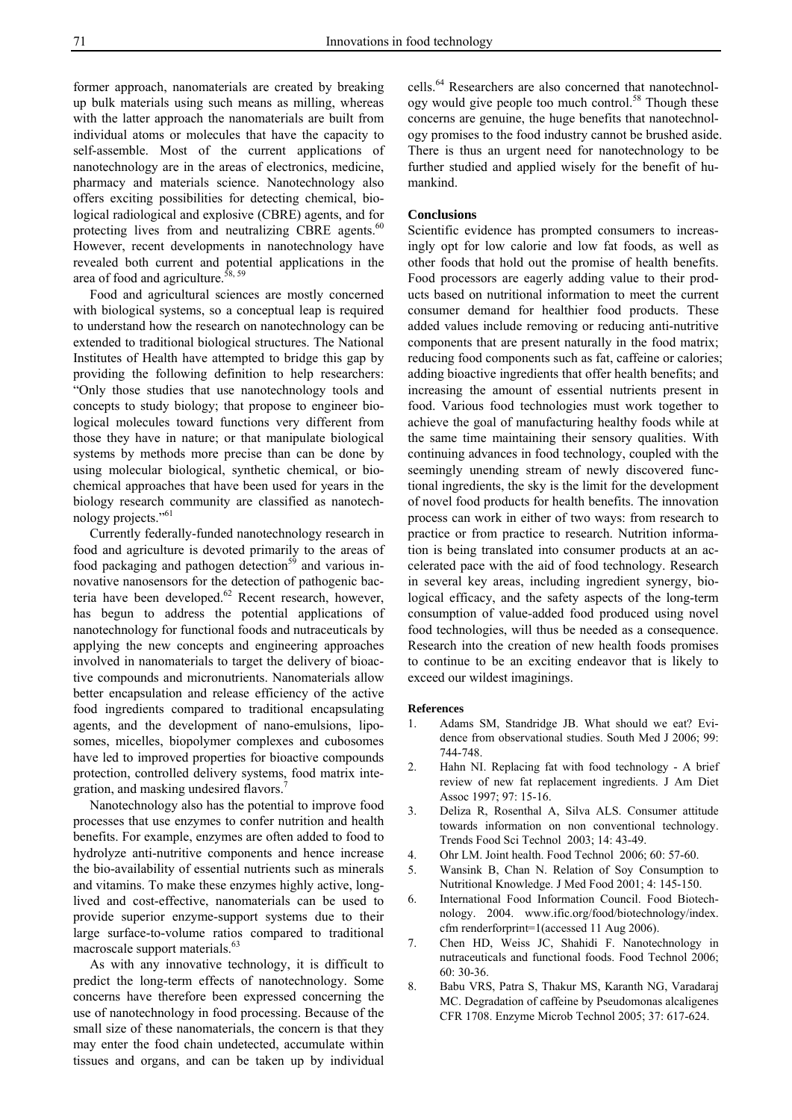former approach, nanomaterials are created by breaking up bulk materials using such means as milling, whereas with the latter approach the nanomaterials are built from individual atoms or molecules that have the capacity to self-assemble. Most of the current applications of nanotechnology are in the areas of electronics, medicine, pharmacy and materials science. Nanotechnology also offers exciting possibilities for detecting chemical, biological radiological and explosive (CBRE) agents, and for protecting lives from and neutralizing CBRE agents. $60$ However, recent developments in nanotechnology have revealed both current and potential applications in the area of food and agriculture.<sup>58, 59</sup>

 Food and agricultural sciences are mostly concerned with biological systems, so a conceptual leap is required to understand how the research on nanotechnology can be extended to traditional biological structures. The National Institutes of Health have attempted to bridge this gap by providing the following definition to help researchers: "Only those studies that use nanotechnology tools and concepts to study biology; that propose to engineer biological molecules toward functions very different from those they have in nature; or that manipulate biological systems by methods more precise than can be done by using molecular biological, synthetic chemical, or biochemical approaches that have been used for years in the biology research community are classified as nanotechnology projects."<sup>61</sup>

 Currently federally-funded nanotechnology research in food and agriculture is devoted primarily to the areas of food packaging and pathogen detection<sup>59</sup> and various innovative nanosensors for the detection of pathogenic bacteria have been developed.<sup>62</sup> Recent research, however, has begun to address the potential applications of nanotechnology for functional foods and nutraceuticals by applying the new concepts and engineering approaches involved in nanomaterials to target the delivery of bioactive compounds and micronutrients. Nanomaterials allow better encapsulation and release efficiency of the active food ingredients compared to traditional encapsulating agents, and the development of nano-emulsions, liposomes, micelles, biopolymer complexes and cubosomes have led to improved properties for bioactive compounds protection, controlled delivery systems, food matrix integration, and masking undesired flavors.

 Nanotechnology also has the potential to improve food processes that use enzymes to confer nutrition and health benefits. For example, enzymes are often added to food to hydrolyze anti-nutritive components and hence increase the bio-availability of essential nutrients such as minerals and vitamins. To make these enzymes highly active, longlived and cost-effective, nanomaterials can be used to provide superior enzyme-support systems due to their large surface-to-volume ratios compared to traditional macroscale support materials.<sup>63</sup>

 As with any innovative technology, it is difficult to predict the long-term effects of nanotechnology. Some concerns have therefore been expressed concerning the use of nanotechnology in food processing. Because of the small size of these nanomaterials, the concern is that they may enter the food chain undetected, accumulate within tissues and organs, and can be taken up by individual

cells.64 Researchers are also concerned that nanotechnology would give people too much control.<sup>58</sup> Though these concerns are genuine, the huge benefits that nanotechnology promises to the food industry cannot be brushed aside. There is thus an urgent need for nanotechnology to be further studied and applied wisely for the benefit of humankind.

## **Conclusions**

Scientific evidence has prompted consumers to increasingly opt for low calorie and low fat foods, as well as other foods that hold out the promise of health benefits. Food processors are eagerly adding value to their products based on nutritional information to meet the current consumer demand for healthier food products. These added values include removing or reducing anti-nutritive components that are present naturally in the food matrix; reducing food components such as fat, caffeine or calories; adding bioactive ingredients that offer health benefits; and increasing the amount of essential nutrients present in food. Various food technologies must work together to achieve the goal of manufacturing healthy foods while at the same time maintaining their sensory qualities. With continuing advances in food technology, coupled with the seemingly unending stream of newly discovered functional ingredients, the sky is the limit for the development of novel food products for health benefits. The innovation process can work in either of two ways: from research to practice or from practice to research. Nutrition information is being translated into consumer products at an accelerated pace with the aid of food technology. Research in several key areas, including ingredient synergy, biological efficacy, and the safety aspects of the long-term consumption of value-added food produced using novel food technologies, will thus be needed as a consequence. Research into the creation of new health foods promises to continue to be an exciting endeavor that is likely to exceed our wildest imaginings.

#### **References**

- 1. Adams SM, Standridge JB. What should we eat? Evidence from observational studies. South Med J 2006; 99: 744-748.
- 2. Hahn NI. Replacing fat with food technology A brief review of new fat replacement ingredients. J Am Diet Assoc 1997; 97: 15-16.
- 3. Deliza R, Rosenthal A, Silva ALS. Consumer attitude towards information on non conventional technology. Trends Food Sci Technol 2003; 14: 43-49.
- 4. Ohr LM. Joint health. Food Technol 2006; 60: 57-60.
- 5. Wansink B, Chan N. Relation of Soy Consumption to Nutritional Knowledge. J Med Food 2001; 4: 145-150.
- 6. International Food Information Council. Food Biotechnology. 2004. www.ific.org/food/biotechnology/index. cfm renderforprint=1(accessed 11 Aug 2006).
- 7. Chen HD, Weiss JC, Shahidi F. Nanotechnology in nutraceuticals and functional foods. Food Technol 2006;  $60.30 - 36$
- 8. Babu VRS, Patra S, Thakur MS, Karanth NG, Varadaraj MC. Degradation of caffeine by Pseudomonas alcaligenes CFR 1708. Enzyme Microb Technol 2005; 37: 617-624.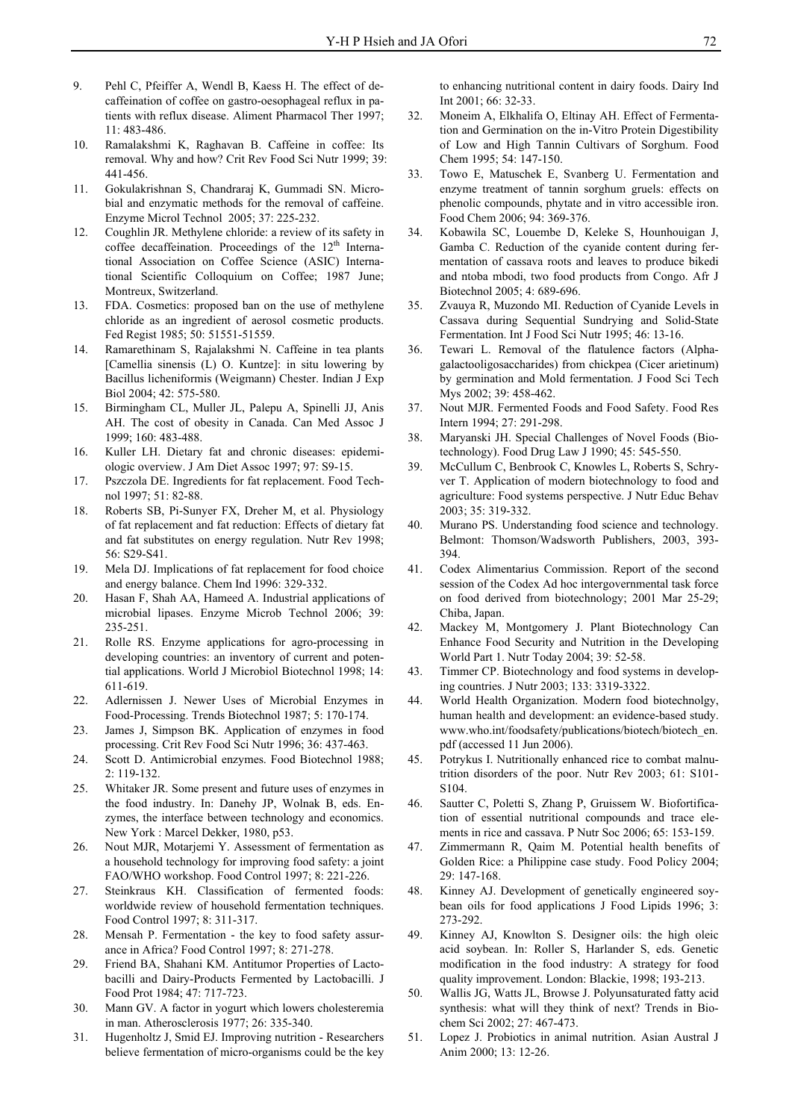- 9. Pehl C, Pfeiffer A, Wendl B, Kaess H. The effect of decaffeination of coffee on gastro-oesophageal reflux in patients with reflux disease. Aliment Pharmacol Ther 1997; 11: 483-486.
- 10. Ramalakshmi K, Raghavan B. Caffeine in coffee: Its removal. Why and how? Crit Rev Food Sci Nutr 1999; 39: 441-456.
- 11. Gokulakrishnan S, Chandraraj K, Gummadi SN. Microbial and enzymatic methods for the removal of caffeine. Enzyme Microl Technol 2005; 37: 225-232.
- 12. Coughlin JR. Methylene chloride: a review of its safety in coffee decaffeination. Proceedings of the  $12<sup>th</sup>$  International Association on Coffee Science (ASIC) International Scientific Colloquium on Coffee; 1987 June; Montreux, Switzerland.
- 13. FDA. Cosmetics: proposed ban on the use of methylene chloride as an ingredient of aerosol cosmetic products. Fed Regist 1985; 50: 51551-51559.
- 14. Ramarethinam S, Rajalakshmi N. Caffeine in tea plants [Camellia sinensis (L) O. Kuntze]: in situ lowering by Bacillus licheniformis (Weigmann) Chester. Indian J Exp Biol 2004; 42: 575-580.
- 15. Birmingham CL, Muller JL, Palepu A, Spinelli JJ, Anis AH. The cost of obesity in Canada. Can Med Assoc J 1999; 160: 483-488.
- 16. Kuller LH. Dietary fat and chronic diseases: epidemiologic overview. J Am Diet Assoc 1997; 97: S9-15.
- 17. Pszczola DE. Ingredients for fat replacement. Food Technol 1997; 51: 82-88.
- 18. Roberts SB, Pi-Sunyer FX, Dreher M, et al. Physiology of fat replacement and fat reduction: Effects of dietary fat and fat substitutes on energy regulation. Nutr Rev 1998; 56: S29-S41.
- 19. Mela DJ. Implications of fat replacement for food choice and energy balance. Chem Ind 1996: 329-332.
- 20. Hasan F, Shah AA, Hameed A. Industrial applications of microbial lipases. Enzyme Microb Technol 2006; 39: 235-251.
- 21. Rolle RS. Enzyme applications for agro-processing in developing countries: an inventory of current and potential applications. World J Microbiol Biotechnol 1998; 14: 611-619.
- 22. Adlernissen J. Newer Uses of Microbial Enzymes in Food-Processing. Trends Biotechnol 1987; 5: 170-174.
- 23. James J, Simpson BK. Application of enzymes in food processing. Crit Rev Food Sci Nutr 1996; 36: 437-463.
- 24. Scott D. Antimicrobial enzymes. Food Biotechnol 1988; 2: 119-132.
- 25. Whitaker JR. Some present and future uses of enzymes in the food industry. In: Danehy JP, Wolnak B, eds. Enzymes, the interface between technology and economics. New York : Marcel Dekker, 1980, p53.
- 26. Nout MJR, Motarjemi Y. Assessment of fermentation as a household technology for improving food safety: a joint FAO/WHO workshop. Food Control 1997; 8: 221-226.
- 27. Steinkraus KH. Classification of fermented foods: worldwide review of household fermentation techniques. Food Control 1997; 8: 311-317.
- 28. Mensah P. Fermentation the key to food safety assurance in Africa? Food Control 1997; 8: 271-278.
- 29. Friend BA, Shahani KM. Antitumor Properties of Lactobacilli and Dairy-Products Fermented by Lactobacilli. J Food Prot 1984; 47: 717-723.
- 30. Mann GV. A factor in yogurt which lowers cholesteremia in man. Atherosclerosis 1977; 26: 335-340.
- 31. Hugenholtz J, Smid EJ. Improving nutrition Researchers believe fermentation of micro-organisms could be the key

to enhancing nutritional content in dairy foods. Dairy Ind Int 2001; 66: 32-33.

- 32. Moneim A, Elkhalifa O, Eltinay AH. Effect of Fermentation and Germination on the in-Vitro Protein Digestibility of Low and High Tannin Cultivars of Sorghum. Food Chem 1995; 54: 147-150.
- 33. Towo E, Matuschek E, Svanberg U. Fermentation and enzyme treatment of tannin sorghum gruels: effects on phenolic compounds, phytate and in vitro accessible iron. Food Chem 2006; 94: 369-376.
- 34. Kobawila SC, Louembe D, Keleke S, Hounhouigan J, Gamba C. Reduction of the cyanide content during fermentation of cassava roots and leaves to produce bikedi and ntoba mbodi, two food products from Congo. Afr J Biotechnol 2005; 4: 689-696.
- 35. Zvauya R, Muzondo MI. Reduction of Cyanide Levels in Cassava during Sequential Sundrying and Solid-State Fermentation. Int J Food Sci Nutr 1995; 46: 13-16.
- 36. Tewari L. Removal of the flatulence factors (Alphagalactooligosaccharides) from chickpea (Cicer arietinum) by germination and Mold fermentation. J Food Sci Tech Mys 2002; 39: 458-462.
- 37. Nout MJR. Fermented Foods and Food Safety. Food Res Intern 1994; 27: 291-298.
- 38. Maryanski JH. Special Challenges of Novel Foods (Biotechnology). Food Drug Law J 1990; 45: 545-550.
- 39. McCullum C, Benbrook C, Knowles L, Roberts S, Schryver T. Application of modern biotechnology to food and agriculture: Food systems perspective. J Nutr Educ Behav 2003; 35: 319-332.
- 40. Murano PS. Understanding food science and technology. Belmont: Thomson/Wadsworth Publishers, 2003, 393- 394.
- 41. Codex Alimentarius Commission. Report of the second session of the Codex Ad hoc intergovernmental task force on food derived from biotechnology; 2001 Mar 25-29; Chiba, Japan.
- 42. Mackey M, Montgomery J. Plant Biotechnology Can Enhance Food Security and Nutrition in the Developing World Part 1. Nutr Today 2004; 39: 52-58.
- 43. Timmer CP. Biotechnology and food systems in developing countries. J Nutr 2003; 133: 3319-3322.
- 44. World Health Organization. Modern food biotechnolgy, human health and development: an evidence-based study. www.who.int/foodsafety/publications/biotech/biotech\_en. pdf (accessed 11 Jun 2006).
- 45. Potrykus I. Nutritionally enhanced rice to combat malnutrition disorders of the poor. Nutr Rev 2003; 61: S101- S104.
- 46. Sautter C, Poletti S, Zhang P, Gruissem W. Biofortification of essential nutritional compounds and trace elements in rice and cassava. P Nutr Soc 2006; 65: 153-159.
- 47. Zimmermann R, Qaim M. Potential health benefits of Golden Rice: a Philippine case study. Food Policy 2004; 29: 147-168.
- 48. Kinney AJ. Development of genetically engineered soybean oils for food applications J Food Lipids 1996; 3: 273-292.
- 49. Kinney AJ, Knowlton S. Designer oils: the high oleic acid soybean. In: Roller S, Harlander S, eds. Genetic modification in the food industry: A strategy for food quality improvement. London: Blackie, 1998; 193-213.
- 50. Wallis JG, Watts JL, Browse J. Polyunsaturated fatty acid synthesis: what will they think of next? Trends in Biochem Sci 2002; 27: 467-473.
- 51. Lopez J. Probiotics in animal nutrition. Asian Austral J Anim 2000; 13: 12-26.